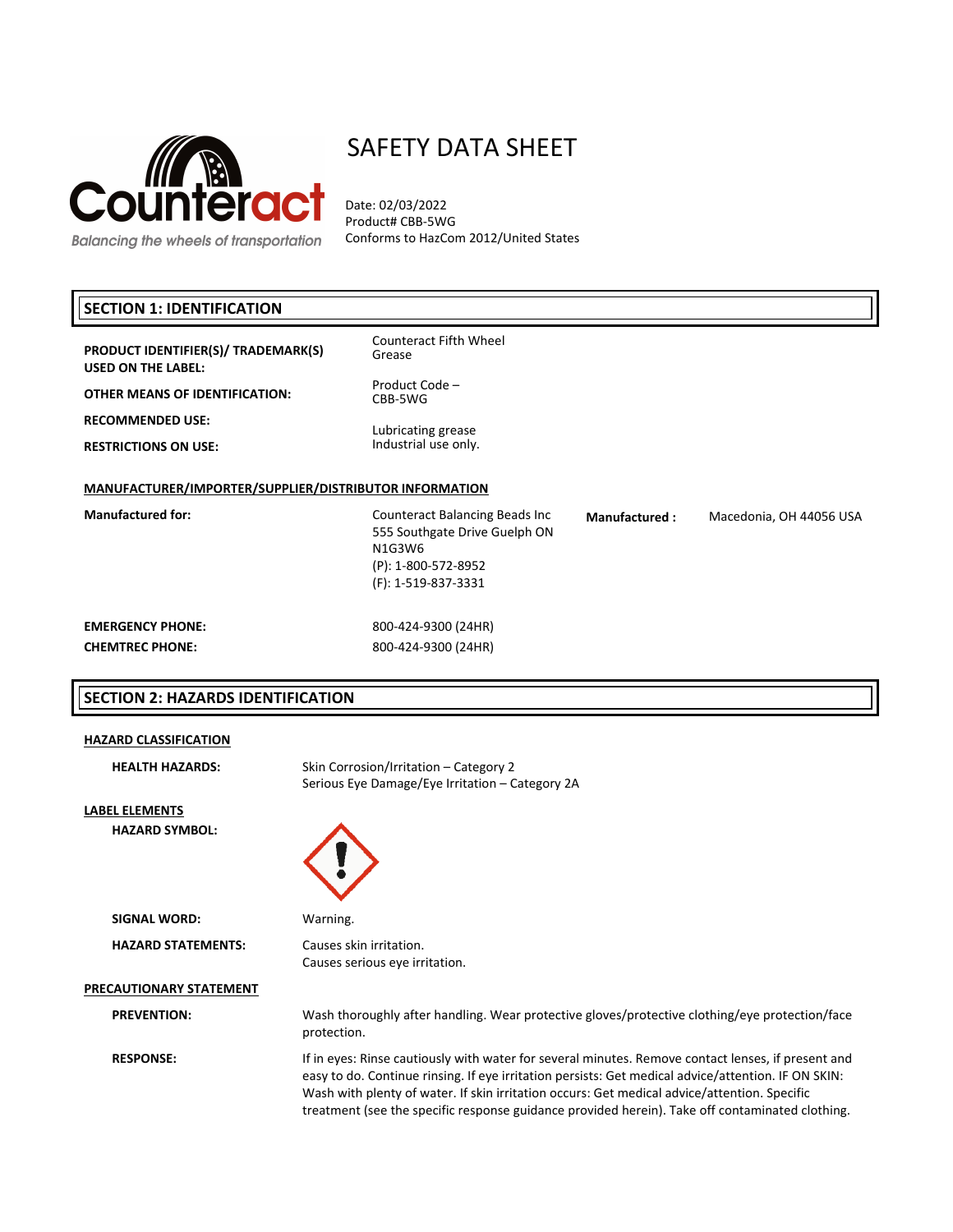

# SAFETY DATA SHEET

Date: 02/03/2022 Product# CBB-5WG Conforms to HazCom 2012/United States

# **SECTION 1: IDENTIFICATION**

**PRODUCT IDENTIFIER(S)/ TRADEMARK(S) USED ON THE LABEL:**

**OTHER MEANS OF IDENTIFICATION:**

**RECOMMENDED USE:**

**RESTRICTIONS ON USE:**

# Lubricating grease Industrial use only.

Product Code – CBB-5WG

Grease

Counteract Fifth Wheel

# **MANUFACTURER/IMPORTER/SUPPLIER/DISTRIBUTOR INFORMATION**

**Manufactured for:** Counteract Balancing Beads Inc 555 Southgate Drive Guelph ON N1G3W6 (P): 1‐800‐572-8952 (F): 1‐519-837-3331

#### **Manufactured :** Macedonia, OH 44056 USA

# **EMERGENCY PHONE:** 800‐424‐9300 (24HR) **CHEMTREC PHONE:** 800‐424‐9300 (24HR)

# **SECTION 2: HAZARDS IDENTIFICATION**

#### **HAZARD CLASSIFICATION**

| <b>HEALTH HAZARDS:</b>    | Skin Corrosion/Irritation – Category 2<br>Serious Eye Damage/Eye Irritation – Category 2A                                                                                                                                                                                                                                                                                                                    |
|---------------------------|--------------------------------------------------------------------------------------------------------------------------------------------------------------------------------------------------------------------------------------------------------------------------------------------------------------------------------------------------------------------------------------------------------------|
| LABEL ELEMENTS            |                                                                                                                                                                                                                                                                                                                                                                                                              |
| <b>HAZARD SYMBOL:</b>     |                                                                                                                                                                                                                                                                                                                                                                                                              |
| <b>SIGNAL WORD:</b>       | Warning.                                                                                                                                                                                                                                                                                                                                                                                                     |
| <b>HAZARD STATEMENTS:</b> | Causes skin irritation.<br>Causes serious eye irritation.                                                                                                                                                                                                                                                                                                                                                    |
| PRECAUTIONARY STATEMENT   |                                                                                                                                                                                                                                                                                                                                                                                                              |
| <b>PREVENTION:</b>        | Wash thoroughly after handling. Wear protective gloves/protective clothing/eye protection/face<br>protection.                                                                                                                                                                                                                                                                                                |
| <b>RESPONSE:</b>          | If in eyes: Rinse cautiously with water for several minutes. Remove contact lenses, if present and<br>easy to do. Continue rinsing. If eye irritation persists: Get medical advice/attention. IF ON SKIN:<br>Wash with plenty of water. If skin irritation occurs: Get medical advice/attention. Specific<br>treatment (see the specific response guidance provided herein). Take off contaminated clothing. |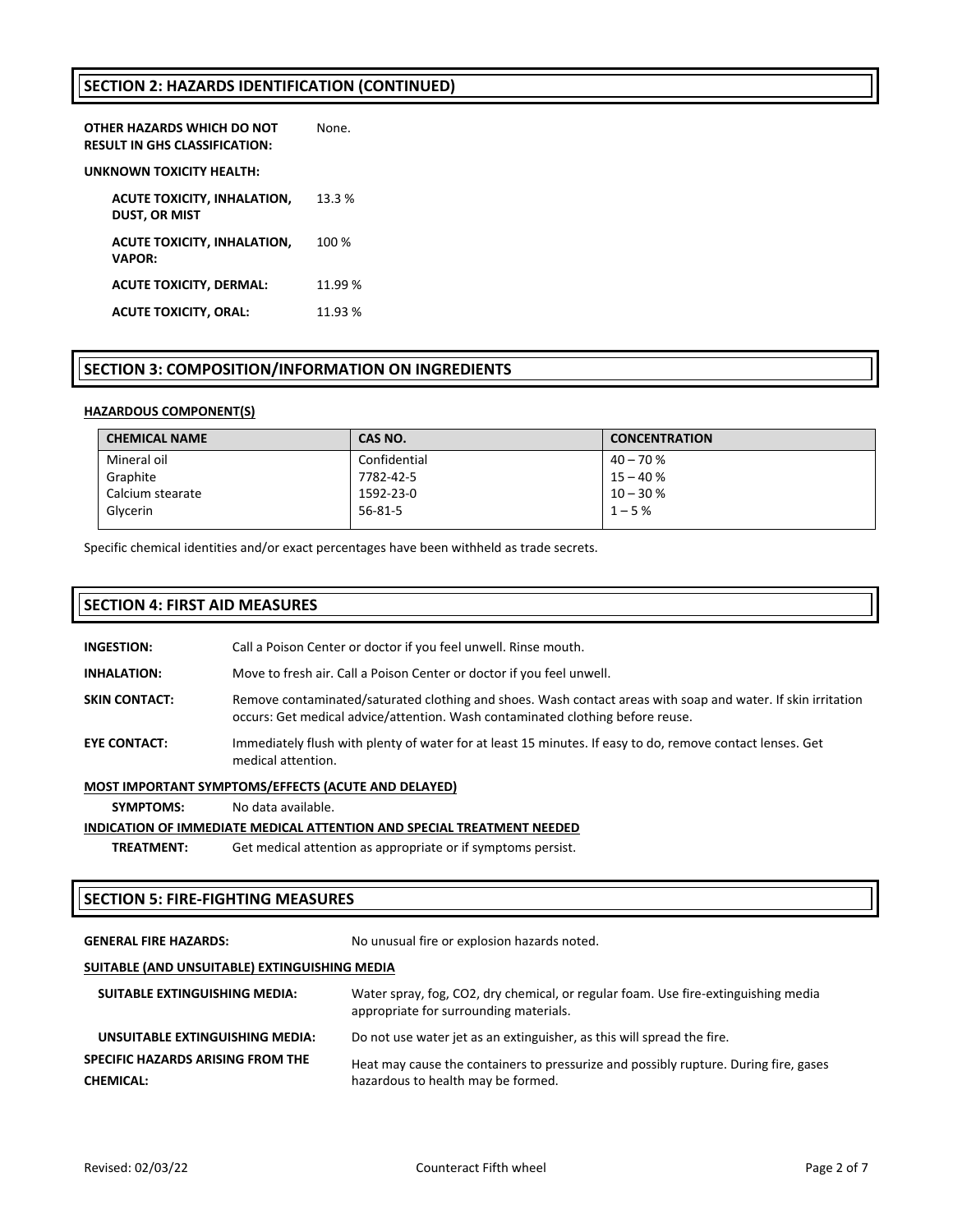# **SECTION 2: HAZARDS IDENTIFICATION (CONTINUED)**

| OTHER HAZARDS WHICH DO NOT<br>RESULT IN GHS CLASSIFICATION: | None.  |
|-------------------------------------------------------------|--------|
| UNKNOWN TOXICITY HEALTH:                                    |        |
| ACUTE TOXICITY, INHALATION,<br><b>DUST. OR MIST</b>         | 13.3 % |
| <b>ACUTE TOXICITY, INHALATION,</b><br><b>VAPOR:</b>         | 100 %  |
| <b>ACUTE TOXICITY, DERMAL:</b>                              | 11.99% |
| <b>ACUTE TOXICITY, ORAL:</b>                                | 11.93% |

## **SECTION 3: COMPOSITION/INFORMATION ON INGREDIENTS**

#### **HAZARDOUS COMPONENT(S)**

| <b>CHEMICAL NAME</b> | CAS NO.       | <b>CONCENTRATION</b> |
|----------------------|---------------|----------------------|
| Mineral oil          | Confidential  | $40 - 70%$           |
| Graphite             | 7782-42-5     | $15 - 40%$           |
| Calcium stearate     | 1592-23-0     | $10 - 30%$           |
| Glycerin             | $56 - 81 - 5$ | $1 - 5%$             |

Specific chemical identities and/or exact percentages have been withheld as trade secrets.

#### **SECTION 4: FIRST AID MEASURES**

| <b>INGESTION:</b> | Call a Poison Center or doctor if you feel unwell. Rinse mouth. |
|-------------------|-----------------------------------------------------------------|
|-------------------|-----------------------------------------------------------------|

**INHALATION:** Move to fresh air. Call a Poison Center or doctor if you feel unwell.

- **SKIN CONTACT:** Remove contaminated/saturated clothing and shoes. Wash contact areas with soap and water. If skin irritation occurs: Get medical advice/attention. Wash contaminated clothing before reuse.
- **EYE CONTACT:** Immediately flush with plenty of water for at least 15 minutes. If easy to do, remove contact lenses. Get medical attention.

#### **MOST IMPORTANT SYMPTOMS/EFFECTS (ACUTE AND DELAYED)**

**SYMPTOMS:** No data available.

#### **INDICATION OF IMMEDIATE MEDICAL ATTENTION AND SPECIAL TREATMENT NEEDED**

**TREATMENT:** Get medical attention as appropriate or if symptoms persist.

#### **SECTION 5: FIRE‐FIGHTING MEASURES**

GENERAL FIRE HAZARDS: No unusual fire or explosion hazards noted.

#### **SUITABLE (AND UNSUITABLE) EXTINGUISHING MEDIA**

| <b>SUITABLE EXTINGUISHING MEDIA:</b> | Water spray, fog, CO2, dry chemical, or regular foam. Use fire-extinguishing media<br>appropriate for surrounding materials. |
|--------------------------------------|------------------------------------------------------------------------------------------------------------------------------|
| UNSUITABLE EXTINGUISHING MEDIA:      | Do not use water jet as an extinguisher, as this will spread the fire.                                                       |
| SPECIFIC HAZARDS ARISING FROM THE    | Heat may cause the containers to pressurize and possibly rupture. During fire, gases                                         |
| <b>CHEMICAL:</b>                     | hazardous to health may be formed.                                                                                           |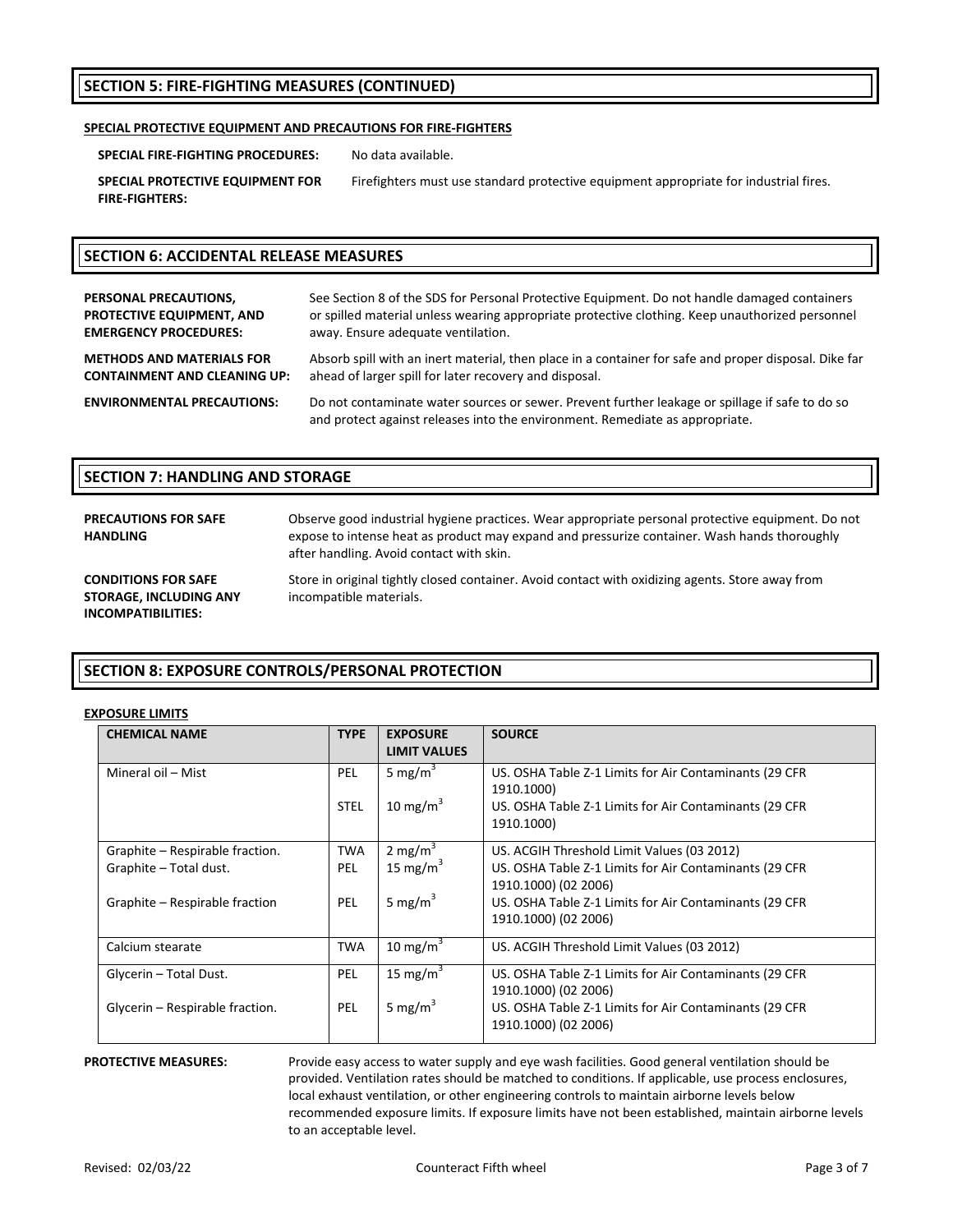# **SECTION 5: FIRE‐FIGHTING MEASURES (CONTINUED)**

#### **SPECIAL PROTECTIVE EQUIPMENT AND PRECAUTIONS FOR FIRE‐FIGHTERS**

**SPECIAL FIRE‐FIGHTING PROCEDURES:** No data available.

**SPECIAL PROTECTIVE EQUIPMENT FOR FIRE‐FIGHTERS:**

Firefighters must use standard protective equipment appropriate for industrial fires.

# **SECTION 6: ACCIDENTAL RELEASE MEASURES**

| PERSONAL PRECAUTIONS,               | See Section 8 of the SDS for Personal Protective Equipment. Do not handle damaged containers                                                                                    |
|-------------------------------------|---------------------------------------------------------------------------------------------------------------------------------------------------------------------------------|
| PROTECTIVE EQUIPMENT, AND           | or spilled material unless wearing appropriate protective clothing. Keep unauthorized personnel                                                                                 |
| <b>EMERGENCY PROCEDURES:</b>        | away. Ensure adequate ventilation.                                                                                                                                              |
| <b>METHODS AND MATERIALS FOR</b>    | Absorb spill with an inert material, then place in a container for safe and proper disposal. Dike far                                                                           |
| <b>CONTAINMENT AND CLEANING UP:</b> | ahead of larger spill for later recovery and disposal.                                                                                                                          |
| <b>ENVIRONMENTAL PRECAUTIONS:</b>   | Do not contaminate water sources or sewer. Prevent further leakage or spillage if safe to do so<br>and protect against releases into the environment. Remediate as appropriate. |

#### **SECTION 7: HANDLING AND STORAGE**

| <b>PRECAUTIONS FOR SAFE</b><br><b>HANDLING</b>                                    | Observe good industrial hygiene practices. Wear appropriate personal protective equipment. Do not<br>expose to intense heat as product may expand and pressurize container. Wash hands thoroughly<br>after handling. Avoid contact with skin. |
|-----------------------------------------------------------------------------------|-----------------------------------------------------------------------------------------------------------------------------------------------------------------------------------------------------------------------------------------------|
| <b>CONDITIONS FOR SAFE</b><br><b>STORAGE, INCLUDING ANY</b><br>INCOMPATIBILITIES: | Store in original tightly closed container. Avoid contact with oxidizing agents. Store away from<br>incompatible materials.                                                                                                                   |

## **SECTION 8: EXPOSURE CONTROLS/PERSONAL PROTECTION**

#### **EXPOSURE LIMITS**

| <b>CHEMICAL NAME</b>                                                                        | <b>TYPE</b>                     | <b>EXPOSURE</b><br><b>LIMIT VALUES</b>                    | <b>SOURCE</b>                                                                                                                                                                                                  |
|---------------------------------------------------------------------------------------------|---------------------------------|-----------------------------------------------------------|----------------------------------------------------------------------------------------------------------------------------------------------------------------------------------------------------------------|
| Mineral oil - Mist                                                                          | PEL<br><b>STEL</b>              | 5 mg/m <sup>3</sup><br>10 mg/m $3$                        | US. OSHA Table Z-1 Limits for Air Contaminants (29 CFR<br>1910.1000)<br>US. OSHA Table Z-1 Limits for Air Contaminants (29 CFR<br>1910.1000)                                                                   |
| Graphite - Respirable fraction.<br>Graphite - Total dust.<br>Graphite - Respirable fraction | <b>TWA</b><br><b>PEL</b><br>PEL | 2 mg/m <sup>3</sup><br>15 mg/m $3$<br>5 mg/m <sup>3</sup> | US. ACGIH Threshold Limit Values (03 2012)<br>US. OSHA Table Z-1 Limits for Air Contaminants (29 CFR<br>1910.1000) (02 2006)<br>US. OSHA Table Z-1 Limits for Air Contaminants (29 CFR<br>1910.1000) (02 2006) |
| Calcium stearate                                                                            | <b>TWA</b>                      | 10 mg/m <sup>3</sup>                                      | US. ACGIH Threshold Limit Values (03 2012)                                                                                                                                                                     |
| Glycerin - Total Dust.<br>Glycerin - Respirable fraction.                                   | PEL<br>PEL                      | 15 mg/m <sup>3</sup><br>5 mg/m <sup>3</sup>               | US. OSHA Table Z-1 Limits for Air Contaminants (29 CFR<br>1910.1000) (02 2006)<br>US. OSHA Table Z-1 Limits for Air Contaminants (29 CFR<br>1910.1000) (02 2006)                                               |

**PROTECTIVE MEASURES:** Provide easy access to water supply and eye wash facilities. Good general ventilation should be provided. Ventilation rates should be matched to conditions. If applicable, use process enclosures, local exhaust ventilation, or other engineering controls to maintain airborne levels below recommended exposure limits. If exposure limits have not been established, maintain airborne levels to an acceptable level.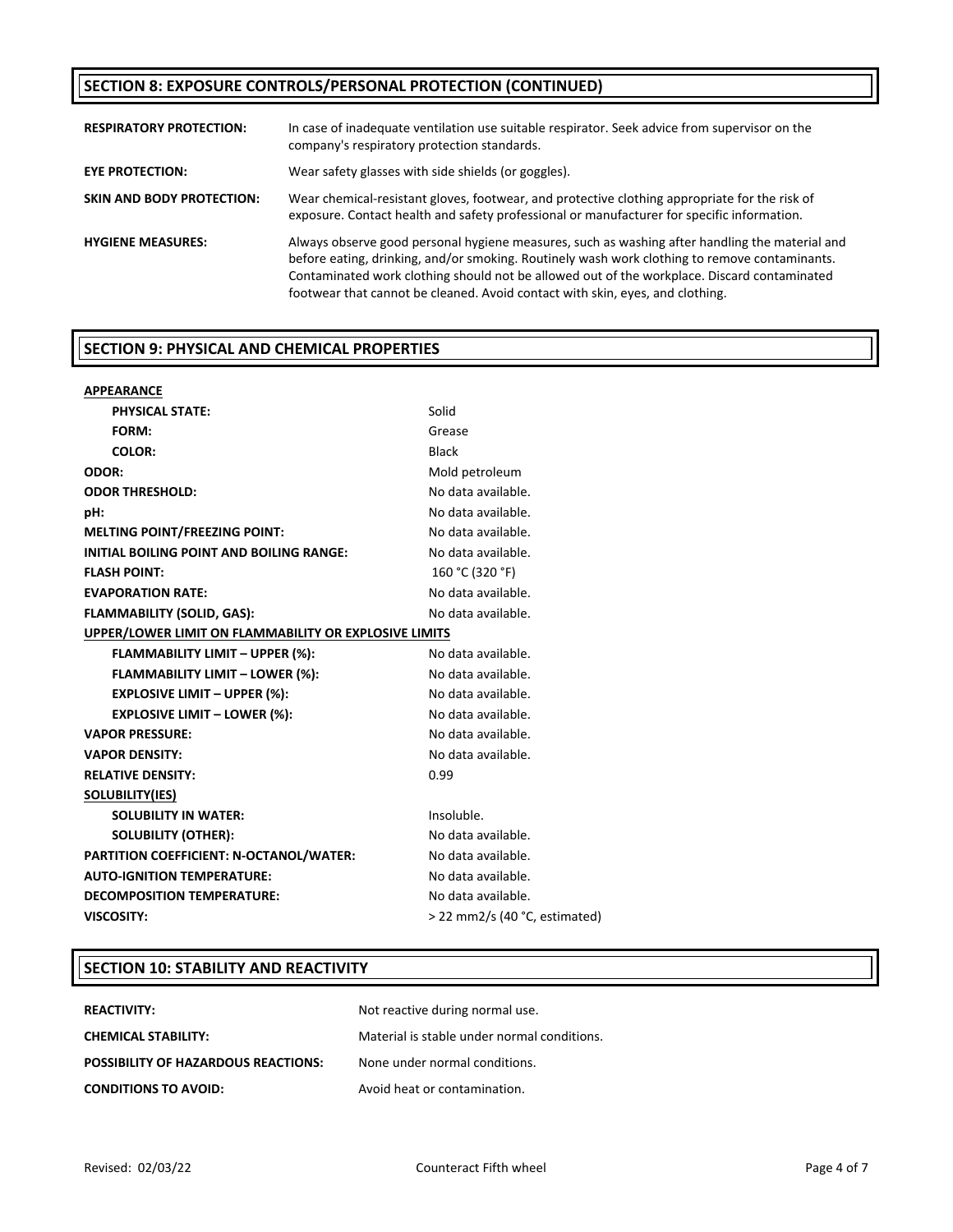# **SECTION 8: EXPOSURE CONTROLS/PERSONAL PROTECTION (CONTINUED)**

| <b>RESPIRATORY PROTECTION:</b>   | In case of inadequate ventilation use suitable respirator. Seek advice from supervisor on the<br>company's respiratory protection standards.                                                                                                                                                                                                                                    |
|----------------------------------|---------------------------------------------------------------------------------------------------------------------------------------------------------------------------------------------------------------------------------------------------------------------------------------------------------------------------------------------------------------------------------|
| EYE PROTECTION:                  | Wear safety glasses with side shields (or goggles).                                                                                                                                                                                                                                                                                                                             |
| <b>SKIN AND BODY PROTECTION:</b> | Wear chemical-resistant gloves, footwear, and protective clothing appropriate for the risk of<br>exposure. Contact health and safety professional or manufacturer for specific information.                                                                                                                                                                                     |
| <b>HYGIENE MEASURES:</b>         | Always observe good personal hygiene measures, such as washing after handling the material and<br>before eating, drinking, and/or smoking. Routinely wash work clothing to remove contaminants.<br>Contaminated work clothing should not be allowed out of the workplace. Discard contaminated<br>footwear that cannot be cleaned. Avoid contact with skin, eyes, and clothing. |

# **SECTION 9: PHYSICAL AND CHEMICAL PROPERTIES**

| <b>APPEARANCE</b>                                     |                               |
|-------------------------------------------------------|-------------------------------|
| <b>PHYSICAL STATE:</b>                                | Solid                         |
| FORM:                                                 | Grease                        |
| <b>COLOR:</b>                                         | <b>Black</b>                  |
| ODOR:                                                 | Mold petroleum                |
| <b>ODOR THRESHOLD:</b>                                | No data available.            |
| pH:                                                   | No data available.            |
| <b>MELTING POINT/FREEZING POINT:</b>                  | No data available.            |
| INITIAL BOILING POINT AND BOILING RANGE:              | No data available.            |
| <b>FLASH POINT:</b>                                   | 160 °C (320 °F)               |
| <b>EVAPORATION RATE:</b>                              | No data available.            |
| <b>FLAMMABILITY (SOLID, GAS):</b>                     | No data available.            |
| UPPER/LOWER LIMIT ON FLAMMABILITY OR EXPLOSIVE LIMITS |                               |
| <b>FLAMMABILITY LIMIT - UPPER (%):</b>                | No data available.            |
| <b>FLAMMABILITY LIMIT - LOWER (%):</b>                | No data available.            |
| <b>EXPLOSIVE LIMIT - UPPER (%):</b>                   | No data available.            |
| <b>EXPLOSIVE LIMIT - LOWER (%):</b>                   | No data available.            |
| <b>VAPOR PRESSURE:</b>                                | No data available.            |
| <b>VAPOR DENSITY:</b>                                 | No data available.            |
| <b>RELATIVE DENSITY:</b>                              | 0.99                          |
| <b>SOLUBILITY(IES)</b>                                |                               |
| <b>SOLUBILITY IN WATER:</b>                           | Insoluble.                    |
| <b>SOLUBILITY (OTHER):</b>                            | No data available.            |
| PARTITION COEFFICIENT: N-OCTANOL/WATER:               | No data available.            |
| <b>AUTO-IGNITION TEMPERATURE:</b>                     | No data available.            |
| <b>DECOMPOSITION TEMPERATURE:</b>                     | No data available.            |
| <b>VISCOSITY:</b>                                     | > 22 mm2/s (40 °C, estimated) |

# **SECTION 10: STABILITY AND REACTIVITY**

| <b>REACTIVITY:</b>                         | Not reactive during normal use.             |
|--------------------------------------------|---------------------------------------------|
| <b>CHEMICAL STABILITY:</b>                 | Material is stable under normal conditions. |
| <b>POSSIBILITY OF HAZARDOUS REACTIONS:</b> | None under normal conditions.               |
| <b>CONDITIONS TO AVOID:</b>                | Avoid heat or contamination.                |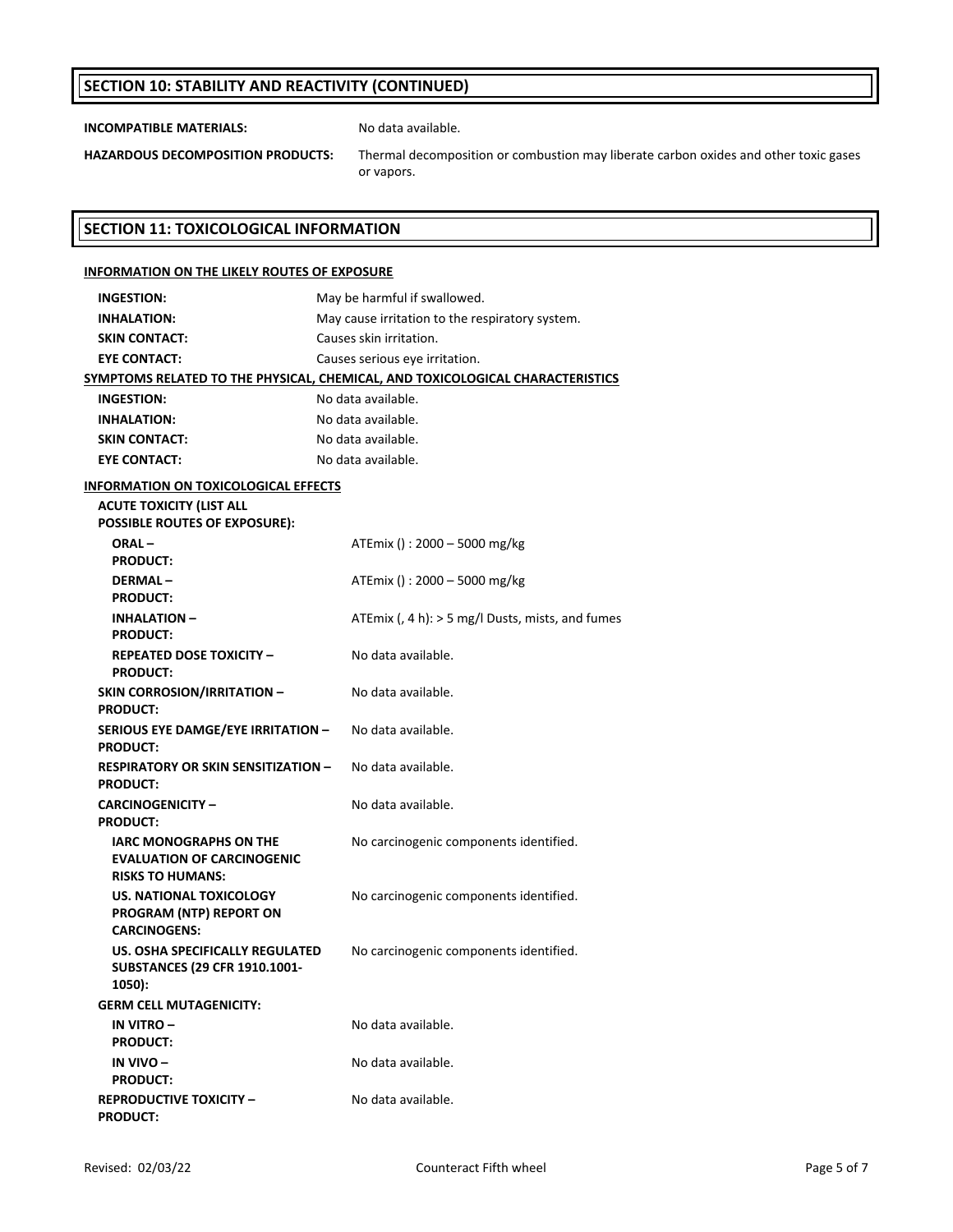## **SECTION 10: STABILITY AND REACTIVITY (CONTINUED)**

**INCOMPATIBLE MATERIALS:** No data available.

**HAZARDOUS DECOMPOSITION PRODUCTS:** Thermal decomposition or combustion may liberate carbon oxides and other toxic gases or vapors.

#### **SECTION 11: TOXICOLOGICAL INFORMATION**

#### **INFORMATION ON THE LIKELY ROUTES OF EXPOSURE INGESTION:** May be harmful if swallowed. **INHALATION:** May cause irritation to the respiratory system. **SKIN CONTACT:** Causes skin irritation. **EYE CONTACT:** Causes serious eye irritation. **SYMPTOMS RELATED TO THE PHYSICAL, CHEMICAL, AND TOXICOLOGICAL CHARACTERISTICS INGESTION:** No data available. **INHALATION:** No data available. **SKIN CONTACT:** No data available. **EYE CONTACT:** No data available. **INFORMATION ON TOXICOLOGICAL EFFECTS ACUTE TOXICITY (LIST ALL POSSIBLE ROUTES OF EXPOSURE): ORAL – PRODUCT:** ATEmix () : 2000 – 5000 mg/kg **DERMAL – PRODUCT:** ATEmix () : 2000 – 5000 mg/kg **INHALATION – PRODUCT:** ATEmix (, 4 h): > 5 mg/l Dusts, mists, and fumes **REPEATED DOSE TOXICITY – PRODUCT:** No data available. **SKIN CORROSION/IRRITATION – PRODUCT:** No data available. **SERIOUS EYE DAMGE/EYE IRRITATION – PRODUCT:** No data available. **RESPIRATORY OR SKIN SENSITIZATION – PRODUCT:** No data available. **CARCINOGENICITY – PRODUCT:** No data available. **IARC MONOGRAPHS ON THE EVALUATION OF CARCINOGENIC RISKS TO HUMANS:** No carcinogenic components identified. **US. NATIONAL TOXICOLOGY PROGRAM (NTP) REPORT ON CARCINOGENS:** No carcinogenic components identified. **US. OSHA SPECIFICALLY REGULATED SUBSTANCES (29 CFR 1910.1001‐ 1050):** No carcinogenic components identified. **GERM CELL MUTAGENICITY: IN VITRO – PRODUCT:** No data available. **IN VIVO – PRODUCT:** No data available. **REPRODUCTIVE TOXICITY – PRODUCT:** No data available.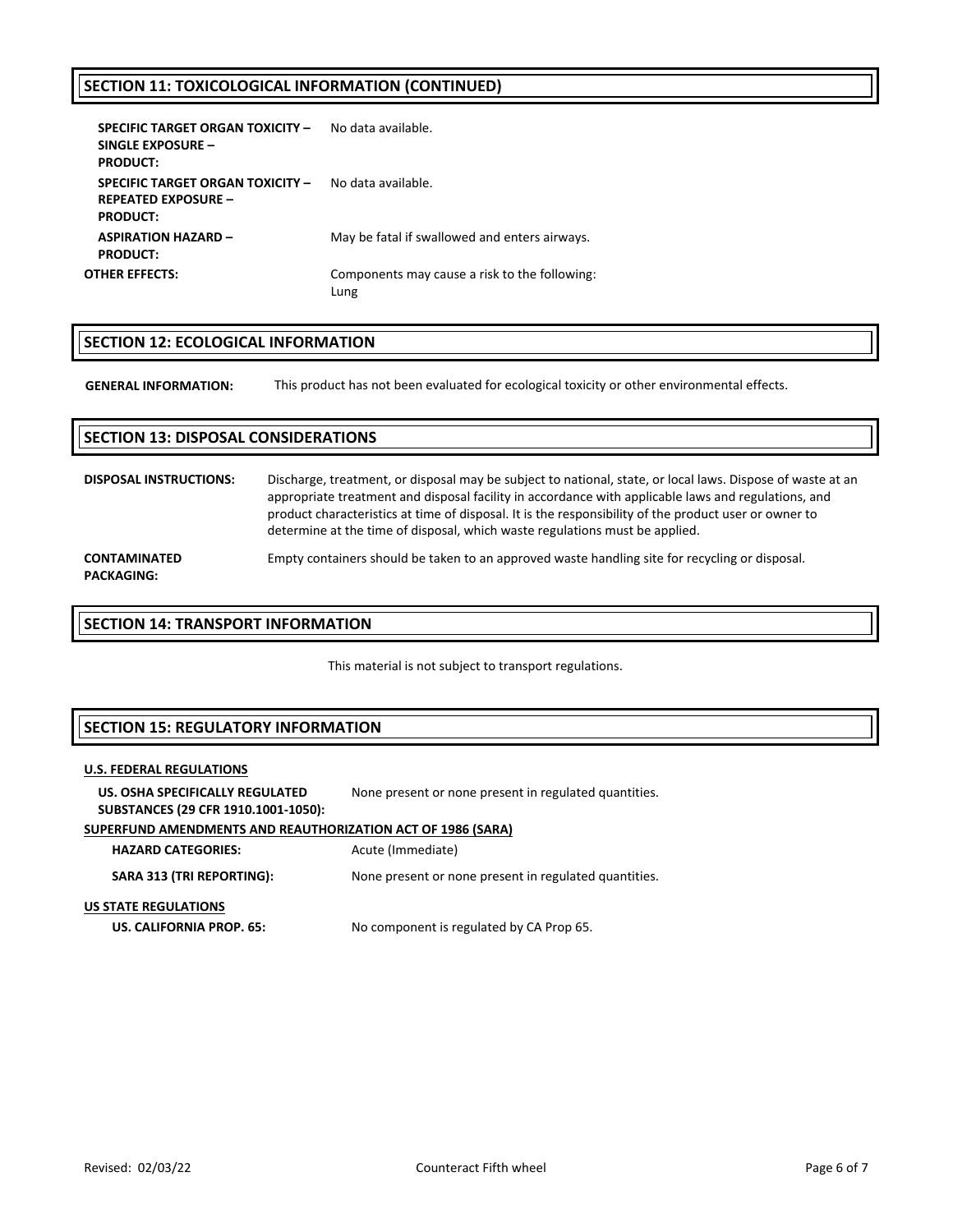# **SECTION 11: TOXICOLOGICAL INFORMATION (CONTINUED)**

| SPECIFIC TARGET ORGAN TOXICITY -<br>SINGLE EXPOSURE -<br><b>PRODUCT:</b>                 | No data available.                                    |
|------------------------------------------------------------------------------------------|-------------------------------------------------------|
| <b>SPECIFIC TARGET ORGAN TOXICITY -</b><br><b>REPEATED EXPOSURE -</b><br><b>PRODUCT:</b> | No data available.                                    |
| <b>ASPIRATION HAZARD -</b><br><b>PRODUCT:</b>                                            | May be fatal if swallowed and enters airways.         |
| OTHER EFFECTS:                                                                           | Components may cause a risk to the following:<br>Lung |

# **SECTION 12: ECOLOGICAL INFORMATION**

**GENERAL INFORMATION:** This product has not been evaluated for ecological toxicity or other environmental effects.

# **SECTION 13: DISPOSAL CONSIDERATIONS DISPOSAL INSTRUCTIONS:** Discharge, treatment, or disposal may be subject to national, state, or local laws. Dispose of waste at an appropriate treatment and disposal facility in accordance with applicable laws and regulations, and product characteristics at time of disposal. It is the responsibility of the product user or owner to determine at the time of disposal, which waste regulations must be applied. **CONTAMINATED PACKAGING:** Empty containers should be taken to an approved waste handling site for recycling or disposal.

#### **SECTION 14: TRANSPORT INFORMATION**

This material is not subject to transport regulations.

## **SECTION 15: REGULATORY INFORMATION**

# **U.S. FEDERAL REGULATIONS**

**US. OSHA SPECIFICALLY REGULATED SUBSTANCES (29 CFR 1910.1001‐1050):** None present or none present in regulated quantities.

# **SUPERFUND AMENDMENTS AND REAUTHORIZATION ACT OF 1986 (SARA)**

**HAZARD CATEGORIES:** Acute (Immediate)

**SARA 313 (TRI REPORTING):** None present or none present in regulated quantities.

#### **US STATE REGULATIONS**

**US. CALIFORNIA PROP. 65:** No component is regulated by CA Prop 65.